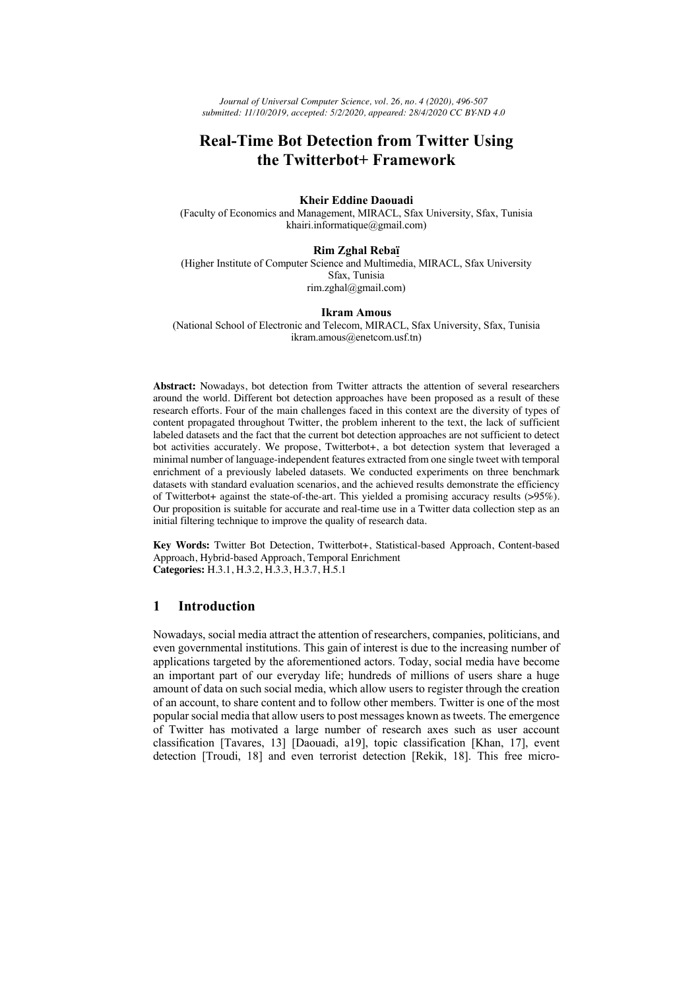*Journal of Universal Computer Science, vol. 26, no. 4 (2020), 496-507 submitted: 11/10/2019, accepted: 5/2/2020, appeared: 28/4/2020 CC BY-ND 4.0*

# **Real-Time Bot Detection from Twitter Using the Twitterbot+ Framework**

**Kheir Eddine Daouadi**

(Faculty of Economics and Management, MIRACL, Sfax University, Sfax, Tunisia khairi.informatique@gmail.com)

#### **Rim Zghal Rebaï**

(Higher Institute of Computer Science and Multimedia, MIRACL, Sfax University Sfax, Tunisia rim.zghal@gmail.com)

#### **Ikram Amous**

(National School of Electronic and Telecom, MIRACL, Sfax University, Sfax, Tunisia ikram.amous@enetcom.usf.tn)

**Abstract:** Nowadays, bot detection from Twitter attracts the attention of several researchers around the world. Different bot detection approaches have been proposed as a result of these research efforts. Four of the main challenges faced in this context are the diversity of types of content propagated throughout Twitter, the problem inherent to the text, the lack of sufficient labeled datasets and the fact that the current bot detection approaches are not sufficient to detect bot activities accurately. We propose, Twitterbot+, a bot detection system that leveraged a minimal number of language-independent features extracted from one single tweet with temporal enrichment of a previously labeled datasets. We conducted experiments on three benchmark datasets with standard evaluation scenarios, and the achieved results demonstrate the efficiency of Twitterbot+ against the state-of-the-art. This yielded a promising accuracy results (>95%). Our proposition is suitable for accurate and real-time use in a Twitter data collection step as an initial filtering technique to improve the quality of research data.

**Key Words:** Twitter Bot Detection, Twitterbot+, Statistical-based Approach, Content-based Approach, Hybrid-based Approach, Temporal Enrichment **Categories:** H.3.1, H.3.2, H.3.3, H.3.7, H.5.1

### **1 Introduction**

Nowadays, social media attract the attention of researchers, companies, politicians, and even governmental institutions. This gain of interest is due to the increasing number of applications targeted by the aforementioned actors. Today, social media have become an important part of our everyday life; hundreds of millions of users share a huge amount of data on such social media, which allow users to register through the creation of an account, to share content and to follow other members. Twitter is one of the most popularsocial media that allow users to post messages known as tweets. The emergence of Twitter has motivated a large number of research axes such as user account classification [Tavares, 13] [Daouadi, a19], topic classification [Khan, 17], event detection [Troudi, 18] and even terrorist detection [Rekik, 18]. This free micro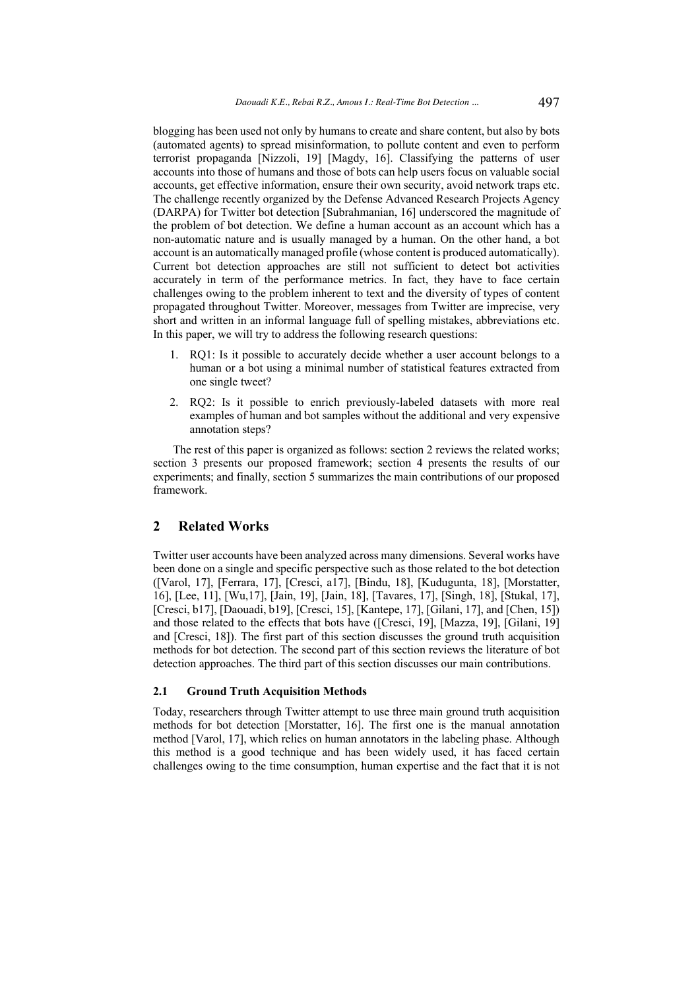blogging has been used not only by humans to create and share content, but also by bots (automated agents) to spread misinformation, to pollute content and even to perform terrorist propaganda [Nizzoli, 19] [Magdy, 16]. Classifying the patterns of user accounts into those of humans and those of bots can help users focus on valuable social accounts, get effective information, ensure their own security, avoid network traps etc. The challenge recently organized by the Defense Advanced Research Projects Agency (DARPA) for Twitter bot detection [Subrahmanian, 16] underscored the magnitude of the problem of bot detection. We define a human account as an account which has a non-automatic nature and is usually managed by a human. On the other hand, a bot account is an automatically managed profile (whose content is produced automatically). Current bot detection approaches are still not sufficient to detect bot activities accurately in term of the performance metrics. In fact, they have to face certain challenges owing to the problem inherent to text and the diversity of types of content propagated throughout Twitter. Moreover, messages from Twitter are imprecise, very short and written in an informal language full of spelling mistakes, abbreviations etc. In this paper, we will try to address the following research questions:

- 1. RQ1: Is it possible to accurately decide whether a user account belongs to a human or a bot using a minimal number of statistical features extracted from one single tweet?
- 2. RQ2: Is it possible to enrich previously-labeled datasets with more real examples of human and bot samples without the additional and very expensive annotation steps?

The rest of this paper is organized as follows: section 2 reviews the related works; section 3 presents our proposed framework; section 4 presents the results of our experiments; and finally, section 5 summarizes the main contributions of our proposed framework.

### **2 Related Works**

Twitter user accounts have been analyzed across many dimensions. Several works have been done on a single and specific perspective such as those related to the bot detection ([Varol, 17], [Ferrara, 17], [Cresci, a17], [Bindu, 18], [Kudugunta, 18], [Morstatter, 16], [Lee, 11], [Wu,17], [Jain, 19], [Jain, 18], [Tavares, 17], [Singh, 18], [Stukal, 17], [Cresci, b17], [Daouadi, b19], [Cresci, 15], [Kantepe, 17], [Gilani, 17], and [Chen, 15]) and those related to the effects that bots have ([Cresci, 19], [Mazza, 19], [Gilani, 19] and [Cresci, 18]). The first part of this section discusses the ground truth acquisition methods for bot detection. The second part of this section reviews the literature of bot detection approaches. The third part of this section discusses our main contributions.

#### **2.1 Ground Truth Acquisition Methods**

Today, researchers through Twitter attempt to use three main ground truth acquisition methods for bot detection [Morstatter, 16]. The first one is the manual annotation method [Varol, 17], which relies on human annotators in the labeling phase. Although this method is a good technique and has been widely used, it has faced certain challenges owing to the time consumption, human expertise and the fact that it is not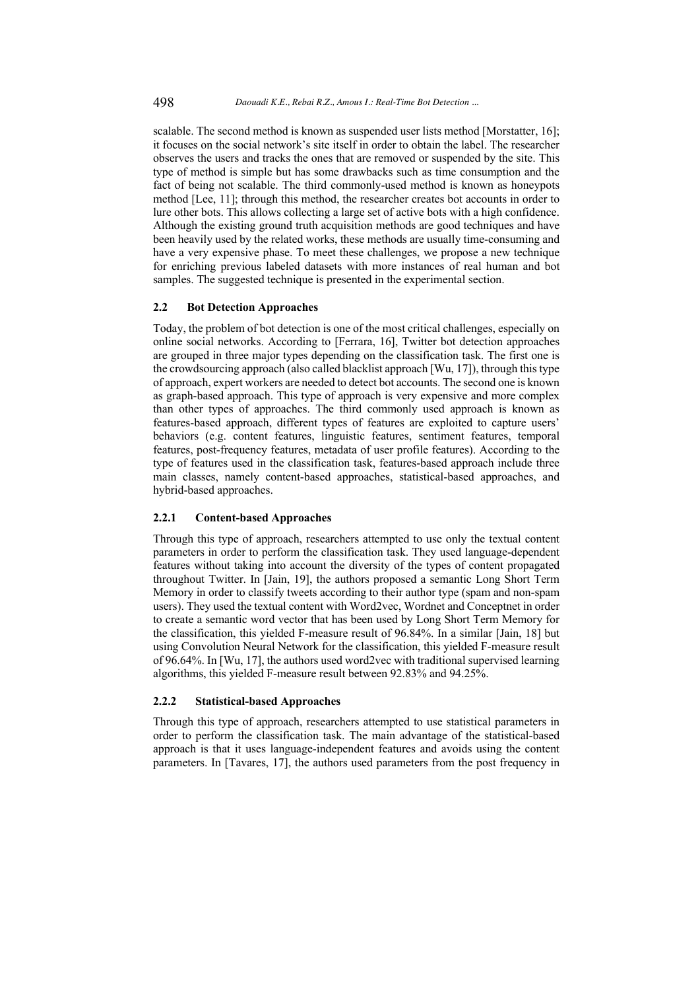scalable. The second method is known as suspended user lists method [Morstatter, 16]; it focuses on the social network's site itself in order to obtain the label. The researcher observes the users and tracks the ones that are removed or suspended by the site. This type of method is simple but has some drawbacks such as time consumption and the fact of being not scalable. The third commonly-used method is known as honeypots method [Lee, 11]; through this method, the researcher creates bot accounts in order to lure other bots. This allows collecting a large set of active bots with a high confidence. Although the existing ground truth acquisition methods are good techniques and have been heavily used by the related works, these methods are usually time-consuming and have a very expensive phase. To meet these challenges, we propose a new technique for enriching previous labeled datasets with more instances of real human and bot samples. The suggested technique is presented in the experimental section.

### **2.2 Bot Detection Approaches**

Today, the problem of bot detection is one of the most critical challenges, especially on online social networks. According to [Ferrara, 16], Twitter bot detection approaches are grouped in three major types depending on the classification task. The first one is the crowdsourcing approach (also called blacklist approach [Wu, 17]), through this type of approach, expert workers are needed to detect bot accounts. The second one is known as graph-based approach. This type of approach is very expensive and more complex than other types of approaches. The third commonly used approach is known as features-based approach, different types of features are exploited to capture users' behaviors (e.g. content features, linguistic features, sentiment features, temporal features, post-frequency features, metadata of user profile features). According to the type of features used in the classification task, features-based approach include three main classes, namely content-based approaches, statistical-based approaches, and hybrid-based approaches.

#### **2.2.1 Content-based Approaches**

Through this type of approach, researchers attempted to use only the textual content parameters in order to perform the classification task. They used language-dependent features without taking into account the diversity of the types of content propagated throughout Twitter. In [Jain, 19], the authors proposed a semantic Long Short Term Memory in order to classify tweets according to their author type (spam and non-spam users). They used the textual content with Word2vec, Wordnet and Conceptnet in order to create a semantic word vector that has been used by Long Short Term Memory for the classification, this yielded F-measure result of 96.84%. In a similar [Jain, 18] but using Convolution Neural Network for the classification, this yielded F-measure result of 96.64%. In [Wu, 17], the authors used word2vec with traditional supervised learning algorithms, this yielded F-measure result between 92.83% and 94.25%.

#### **2.2.2 Statistical-based Approaches**

Through this type of approach, researchers attempted to use statistical parameters in order to perform the classification task. The main advantage of the statistical-based approach is that it uses language-independent features and avoids using the content parameters. In [Tavares, 17], the authors used parameters from the post frequency in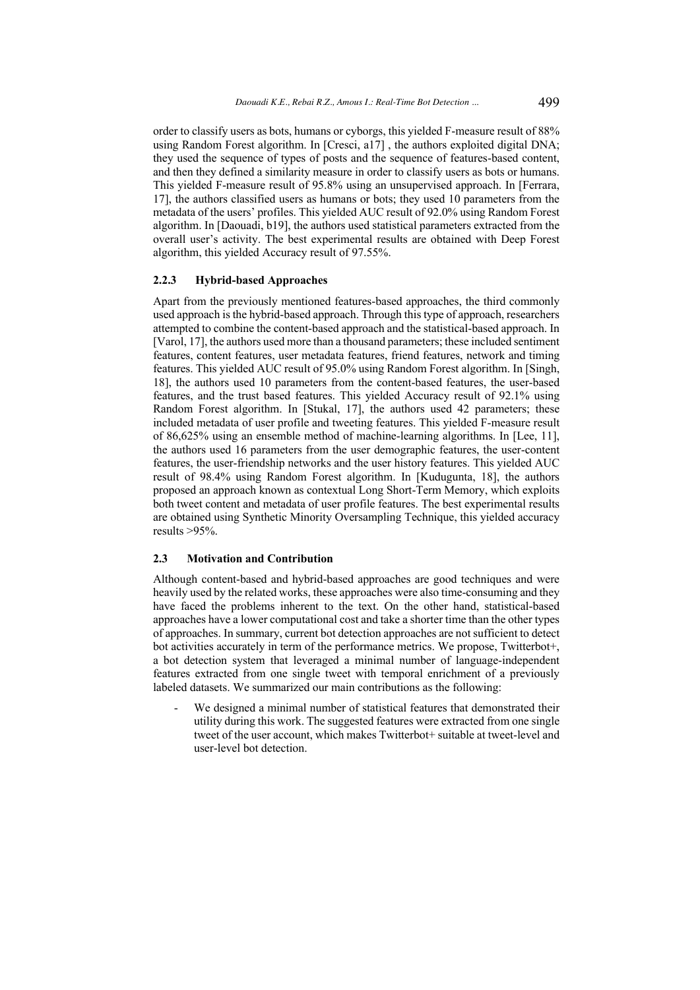order to classify users as bots, humans or cyborgs, this yielded F-measure result of 88% using Random Forest algorithm. In [Cresci, a17] , the authors exploited digital DNA; they used the sequence of types of posts and the sequence of features-based content, and then they defined a similarity measure in order to classify users as bots or humans. This yielded F-measure result of 95.8% using an unsupervised approach. In [Ferrara, 17], the authors classified users as humans or bots; they used 10 parameters from the metadata of the users' profiles. This yielded AUC result of 92.0% using Random Forest algorithm. In [Daouadi, b19], the authors used statistical parameters extracted from the overall user's activity. The best experimental results are obtained with Deep Forest algorithm, this yielded Accuracy result of 97.55%.

#### **2.2.3 Hybrid-based Approaches**

Apart from the previously mentioned features-based approaches, the third commonly used approach is the hybrid-based approach. Through this type of approach, researchers attempted to combine the content-based approach and the statistical-based approach. In [Varol, 17], the authors used more than a thousand parameters; these included sentiment features, content features, user metadata features, friend features, network and timing features. This yielded AUC result of 95.0% using Random Forest algorithm. In [Singh, 18], the authors used 10 parameters from the content-based features, the user-based features, and the trust based features. This yielded Accuracy result of 92.1% using Random Forest algorithm. In [Stukal, 17], the authors used 42 parameters; these included metadata of user profile and tweeting features. This yielded F-measure result of 86,625% using an ensemble method of machine-learning algorithms. In [Lee, 11], the authors used 16 parameters from the user demographic features, the user-content features, the user-friendship networks and the user history features. This yielded AUC result of 98.4% using Random Forest algorithm. In [Kudugunta, 18], the authors proposed an approach known as contextual Long Short-Term Memory, which exploits both tweet content and metadata of user profile features. The best experimental results are obtained using Synthetic Minority Oversampling Technique, this yielded accuracy results >95%.

#### **2.3 Motivation and Contribution**

Although content-based and hybrid-based approaches are good techniques and were heavily used by the related works, these approaches were also time-consuming and they have faced the problems inherent to the text. On the other hand, statistical-based approaches have a lower computational cost and take a shorter time than the other types of approaches. In summary, current bot detection approaches are not sufficient to detect bot activities accurately in term of the performance metrics. We propose, Twitterbot+, a bot detection system that leveraged a minimal number of language-independent features extracted from one single tweet with temporal enrichment of a previously labeled datasets. We summarized our main contributions as the following:

We designed a minimal number of statistical features that demonstrated their utility during this work. The suggested features were extracted from one single tweet of the user account, which makes Twitterbot+ suitable at tweet-level and user-level bot detection.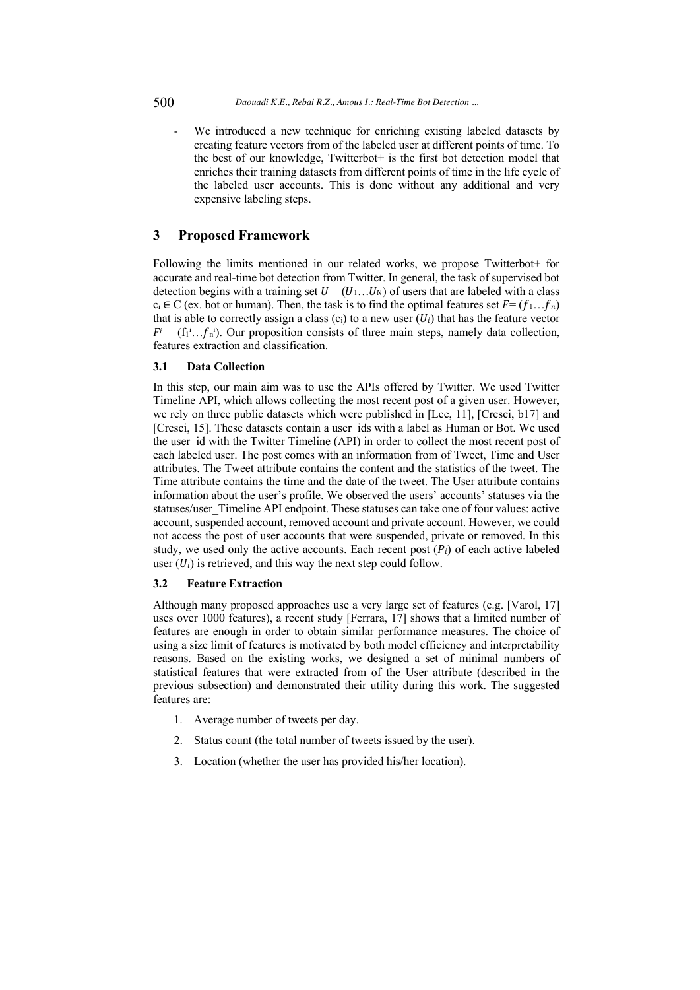We introduced a new technique for enriching existing labeled datasets by creating feature vectors from of the labeled user at different points of time. To the best of our knowledge, Twitterbot+ is the first bot detection model that enriches their training datasets from different points of time in the life cycle of the labeled user accounts. This is done without any additional and very expensive labeling steps.

### **3 Proposed Framework**

Following the limits mentioned in our related works, we propose Twitterbot+ for accurate and real-time bot detection from Twitter. In general, the task of supervised bot detection begins with a training set  $U = (U_1...U_N)$  of users that are labeled with a class  $c_i \in C$  (ex. bot or human). Then, the task is to find the optimal features set  $F = (f_1...f_n)$ that is able to correctly assign a class (c<sub>i</sub>) to a new user  $(U_i)$  that has the feature vector  $F^i = (f_1^i...f_n^i)$ . Our proposition consists of three main steps, namely data collection, features extraction and classification.

#### **3.1 Data Collection**

In this step, our main aim was to use the APIs offered by Twitter. We used Twitter Timeline API, which allows collecting the most recent post of a given user. However, we rely on three public datasets which were published in [Lee, 11], [Cresci, b17] and [Cresci, 15]. These datasets contain a user ids with a label as Human or Bot. We used the user id with the Twitter Timeline (API) in order to collect the most recent post of each labeled user. The post comes with an information from of Tweet, Time and User attributes. The Tweet attribute contains the content and the statistics of the tweet. The Time attribute contains the time and the date of the tweet. The User attribute contains information about the user's profile. We observed the users' accounts' statuses via the statuses/user\_Timeline API endpoint. These statuses can take one of four values: active account, suspended account, removed account and private account. However, we could not access the post of user accounts that were suspended, private or removed. In this study, we used only the active accounts. Each recent post  $(P_i)$  of each active labeled user  $(U_i)$  is retrieved, and this way the next step could follow.

#### **3.2 Feature Extraction**

Although many proposed approaches use a very large set of features (e.g. [Varol, 17] uses over 1000 features), a recent study [Ferrara, 17] shows that a limited number of features are enough in order to obtain similar performance measures. The choice of using a size limit of features is motivated by both model efficiency and interpretability reasons. Based on the existing works, we designed a set of minimal numbers of statistical features that were extracted from of the User attribute (described in the previous subsection) and demonstrated their utility during this work. The suggested features are:

- 1. Average number of tweets per day.
- 2. Status count (the total number of tweets issued by the user).
- 3. Location (whether the user has provided his/her location).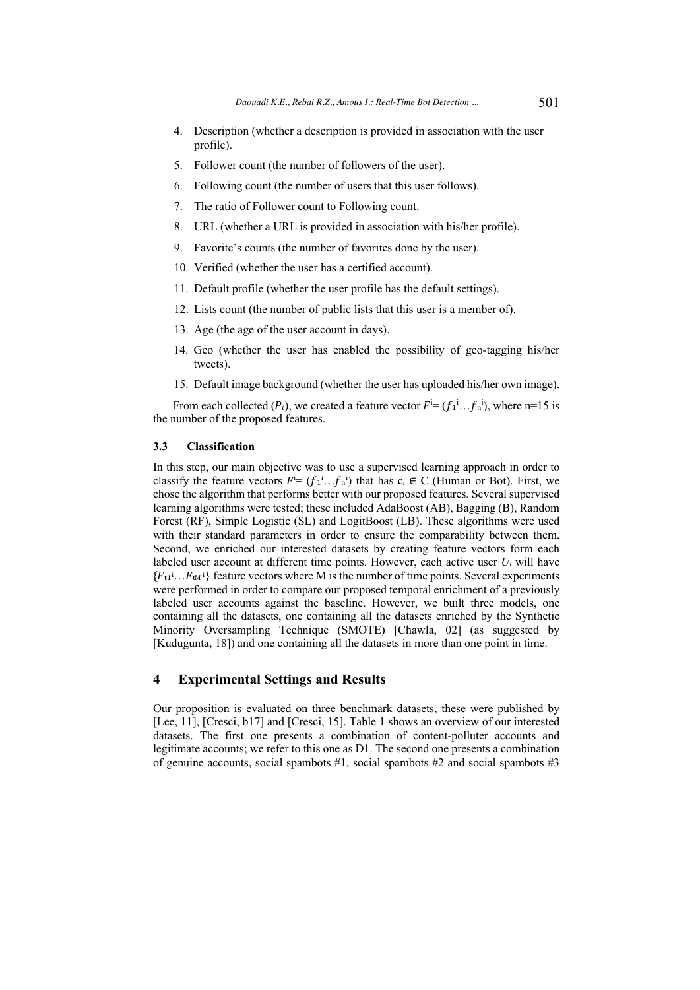- 4. Description (whether a description is provided in association with the user profile).
- 5. Follower count (the number of followers of the user).
- 6. Following count (the number of users that this user follows).
- 7. The ratio of Follower count to Following count.
- 8. URL (whether a URL is provided in association with his/her profile).
- 9. Favorite's counts (the number of favorites done by the user).
- 10. Verified (whether the user has a certified account).
- 11. Default profile (whether the user profile has the default settings).
- 12. Lists count (the number of public lists that this user is a member of).
- 13. Age (the age of the user account in days).
- 14. Geo (whether the user has enabled the possibility of geo-tagging his/her tweets).
- 15. Default image background (whether the user has uploaded his/her own image).

From each collected ( $P_i$ ), we created a feature vector  $F^i = (f_1^i...f_n^i)$ , where n=15 is the number of the proposed features.

#### **3.3 Classification**

In this step, our main objective was to use a supervised learning approach in order to classify the feature vectors  $F^i = (f_1^i...f_n^i)$  that has  $c_i \in C$  (Human or Bot). First, we chose the algorithm that performs better with our proposed features. Several supervised learning algorithms were tested; these included AdaBoost (AB), Bagging (B), Random Forest (RF), Simple Logistic (SL) and LogitBoost (LB). These algorithms were used with their standard parameters in order to ensure the comparability between them. Second, we enriched our interested datasets by creating feature vectors form each labeled user account at different time points. However, each active user *Ui* will have  ${F_{t1}}^i...F_{tM}^i$  feature vectors where M is the number of time points. Several experiments were performed in order to compare our proposed temporal enrichment of a previously labeled user accounts against the baseline. However, we built three models, one containing all the datasets, one containing all the datasets enriched by the Synthetic Minority Oversampling Technique (SMOTE) [Chawla, 02] (as suggested by [Kudugunta, 18]) and one containing all the datasets in more than one point in time.

### **4 Experimental Settings and Results**

Our proposition is evaluated on three benchmark datasets, these were published by [Lee, 11], [Cresci, b17] and [Cresci, 15]. Table 1 shows an overview of our interested datasets. The first one presents a combination of content-polluter accounts and legitimate accounts; we refer to this one as D1. The second one presents a combination of genuine accounts, social spambots #1, social spambots #2 and social spambots #3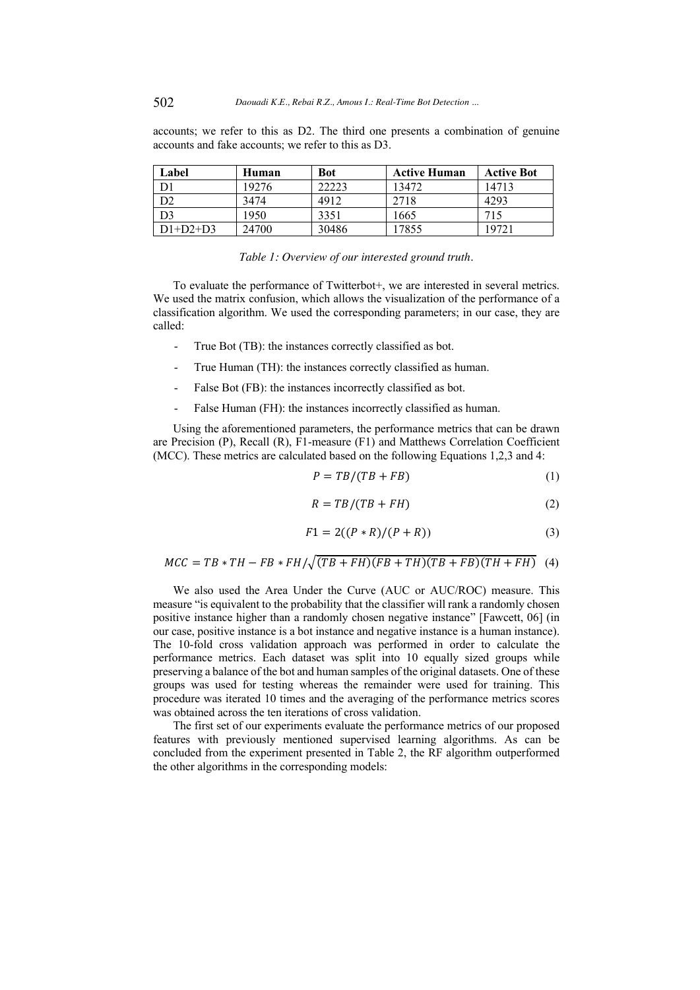accounts; we refer to this as D2. The third one presents a combination of genuine accounts and fake accounts; we refer to this as D3.

| Label          | Human | Bot   | <b>Active Human</b> | <b>Active Bot</b> |
|----------------|-------|-------|---------------------|-------------------|
| D <sub>1</sub> | 19276 | 22223 | 13472               | 14713             |
| D2             | 3474  | 4912  | 2718                | 4293              |
| D <sub>3</sub> | 1950  | 3351  | 1665                | 715               |
| $D1+D2+D3$     | 24700 | 30486 | 17855               | 19721             |

|  | Table 1: Overview of our interested ground truth. |  |
|--|---------------------------------------------------|--|
|  |                                                   |  |

To evaluate the performance of Twitterbot+, we are interested in several metrics. We used the matrix confusion, which allows the visualization of the performance of a classification algorithm. We used the corresponding parameters; in our case, they are called:

- True Bot (TB): the instances correctly classified as bot.
- True Human (TH): the instances correctly classified as human.
- False Bot (FB): the instances incorrectly classified as bot.
- False Human (FH): the instances incorrectly classified as human.

Using the aforementioned parameters, the performance metrics that can be drawn are Precision (P), Recall (R), F1-measure (F1) and Matthews Correlation Coefficient (MCC). These metrics are calculated based on the following Equations 1,2,3 and 4:

$$
P = TB/(TB + FB)
$$
 (1)

$$
R = TB/(TB + FH) \tag{2}
$$

$$
F1 = 2((P * R)/(P + R))
$$
 (3)

$$
MCC = TB * TH - FB * FH / \sqrt{(TB + FH)(FB + TH)(TB + FB)(TH + FH) (4)}
$$

We also used the Area Under the Curve (AUC or AUC/ROC) measure. This measure "is equivalent to the probability that the classifier will rank a randomly chosen positive instance higher than a randomly chosen negative instance" [Fawcett, 06] (in our case, positive instance is a bot instance and negative instance is a human instance). The 10-fold cross validation approach was performed in order to calculate the performance metrics. Each dataset was split into 10 equally sized groups while preserving a balance of the bot and human samples of the original datasets. One of these groups was used for testing whereas the remainder were used for training. This procedure was iterated 10 times and the averaging of the performance metrics scores was obtained across the ten iterations of cross validation.

The first set of our experiments evaluate the performance metrics of our proposed features with previously mentioned supervised learning algorithms. As can be concluded from the experiment presented in Table 2, the RF algorithm outperformed the other algorithms in the corresponding models: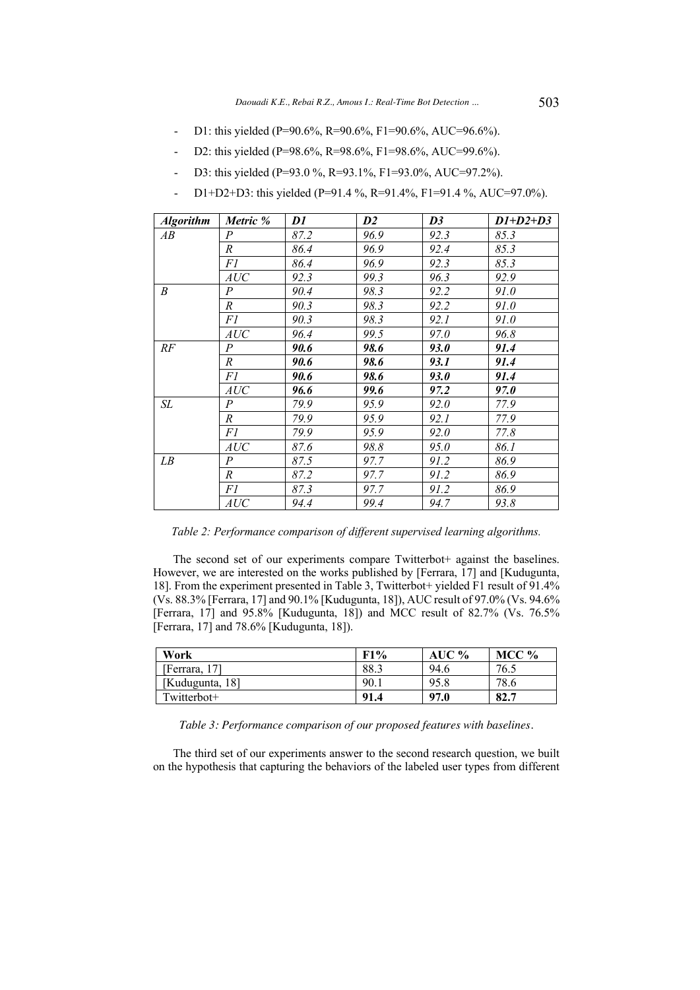- D1: this yielded (P=90.6%, R=90.6%, F1=90.6%, AUC=96.6%).
- D2: this yielded (P=98.6%, R=98.6%, F1=98.6%, AUC=99.6%).
- D3: this yielded (P=93.0 %, R=93.1%, F1=93.0%, AUC=97.2%).
- D1+D2+D3: this yielded (P=91.4 %, R=91.4%, F1=91.4 %, AUC=97.0%).

| <b>Algorithm</b> | Metric %                    | DI   | $\mathbf{D}2$ | D3   | $D1+D2+D3$ |
|------------------|-----------------------------|------|---------------|------|------------|
| AB               | $\cal P$                    | 87.2 | 96.9          | 92.3 | 85.3       |
|                  | $\boldsymbol{R}$            | 86.4 | 96.9          | 92.4 | 85.3       |
|                  | F1                          | 86.4 | 96.9          | 92.3 | 85.3       |
|                  | AUC                         | 92.3 | 99.3          | 96.3 | 92.9       |
| B                | P                           | 90.4 | 98.3          | 92.2 | 91.0       |
|                  | $\boldsymbol{R}$            | 90.3 | 98.3          | 92.2 | 91.0       |
|                  | F1                          | 90.3 | 98.3          | 92.1 | 91.0       |
|                  | AUC                         | 96.4 | 99.5          | 97.0 | 96.8       |
| RF               | P                           | 90.6 | 98.6          | 93.0 | 91.4       |
|                  | $\boldsymbol{R}$            | 90.6 | 98.6          | 93.1 | 91.4       |
|                  | F1                          | 90.6 | 98.6          | 93.0 | 91.4       |
|                  | $\ensuremath{\mathit{AUC}}$ | 96.6 | 99.6          | 97.2 | 97.O       |
| SL               | $\boldsymbol{P}$            | 79.9 | 95.9          | 92.0 | 77.9       |
|                  | $\boldsymbol{R}$            | 79.9 | 95.9          | 92.1 | 77.9       |
|                  | F1                          | 79.9 | 95.9          | 92.0 | 77.8       |
|                  | AUC                         | 87.6 | 98.8          | 95.0 | 86.1       |
| LB               | $\overline{P}$              | 87.5 | 97.7          | 91.2 | 86.9       |
|                  | $\boldsymbol{R}$            | 87.2 | 97.7          | 91.2 | 86.9       |
|                  | FI                          | 87.3 | 97.7          | 91.2 | 86.9       |
|                  | AUC                         | 94.4 | 99.4          | 94.7 | 93.8       |

*Table 2: Performance comparison of different supervised learning algorithms.*

The second set of our experiments compare Twitterbot+ against the baselines. However, we are interested on the works published by [Ferrara, 17] and [Kudugunta, 18]. From the experiment presented in Table 3, Twitterbot+ yielded F1 result of 91.4% (Vs. 88.3% [Ferrara, 17] and 90.1% [Kudugunta, 18]), AUC result of 97.0% (Vs. 94.6% [Ferrara, 17] and 95.8% [Kudugunta, 18]) and MCC result of 82.7% (Vs. 76.5% [Ferrara, 17] and 78.6% [Kudugunta, 18]).

| Work            | F1%  | AUC % | MCC $%$ |
|-----------------|------|-------|---------|
| [Ferrara, 17]   | 88.3 | 94.6  | 76.5    |
| [Kudugunta, 18] | 90.1 | 95.8  | 78.6    |
| Twitterbot+     | 91.4 | 97.0  | 82.7    |

*Table 3: Performance comparison of our proposed features with baselines.*

The third set of our experiments answer to the second research question, we built on the hypothesis that capturing the behaviors of the labeled user types from different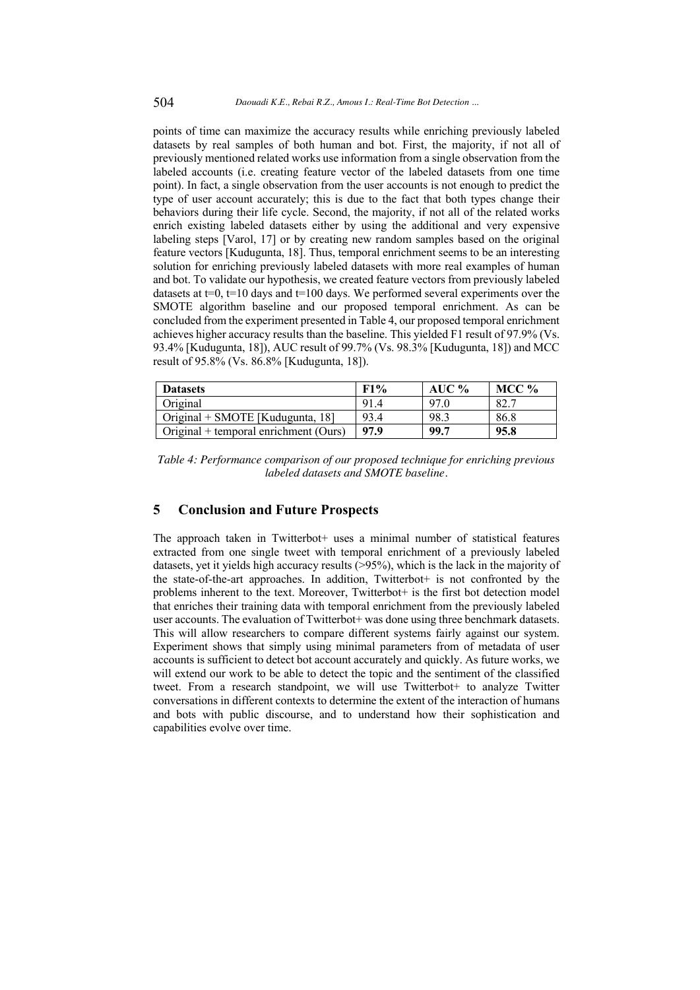points of time can maximize the accuracy results while enriching previously labeled datasets by real samples of both human and bot. First, the majority, if not all of previously mentioned related works use information from a single observation from the labeled accounts (i.e. creating feature vector of the labeled datasets from one time point). In fact, a single observation from the user accounts is not enough to predict the type of user account accurately; this is due to the fact that both types change their behaviors during their life cycle. Second, the majority, if not all of the related works enrich existing labeled datasets either by using the additional and very expensive labeling steps [Varol, 17] or by creating new random samples based on the original feature vectors [Kudugunta, 18]. Thus, temporal enrichment seems to be an interesting solution for enriching previously labeled datasets with more real examples of human and bot. To validate our hypothesis, we created feature vectors from previously labeled datasets at  $t=0$ ,  $t=10$  days and  $t=100$  days. We performed several experiments over the SMOTE algorithm baseline and our proposed temporal enrichment. As can be concluded from the experiment presented in Table 4, our proposed temporal enrichment achieves higher accuracy results than the baseline. This yielded F1 result of 97.9% (Vs. 93.4% [Kudugunta, 18]), AUC result of 99.7% (Vs. 98.3% [Kudugunta, 18]) and MCC result of 95.8% (Vs. 86.8% [Kudugunta, 18]).

| <b>Datasets</b>                       | F1%  | AUC % | MCC % |
|---------------------------------------|------|-------|-------|
| Original                              | 91.4 | 97.0  | 82.7  |
| Original + SMOTE [Kudugunta, 18]      | 93.4 | 98.3  | 86.8  |
| Original + temporal enrichment (Ours) | 979  | 99.7  | 95.8  |

*Table 4: Performance comparison of our proposed technique for enriching previous labeled datasets and SMOTE baseline.*

## **5 Conclusion and Future Prospects**

The approach taken in Twitterbot+ uses a minimal number of statistical features extracted from one single tweet with temporal enrichment of a previously labeled datasets, yet it yields high accuracy results (>95%), which is the lack in the majority of the state-of-the-art approaches. In addition, Twitterbot+ is not confronted by the problems inherent to the text. Moreover, Twitterbot+ is the first bot detection model that enriches their training data with temporal enrichment from the previously labeled user accounts. The evaluation of Twitterbot+ was done using three benchmark datasets. This will allow researchers to compare different systems fairly against our system. Experiment shows that simply using minimal parameters from of metadata of user accounts is sufficient to detect bot account accurately and quickly. As future works, we will extend our work to be able to detect the topic and the sentiment of the classified tweet. From a research standpoint, we will use Twitterbot+ to analyze Twitter conversations in different contexts to determine the extent of the interaction of humans and bots with public discourse, and to understand how their sophistication and capabilities evolve over time.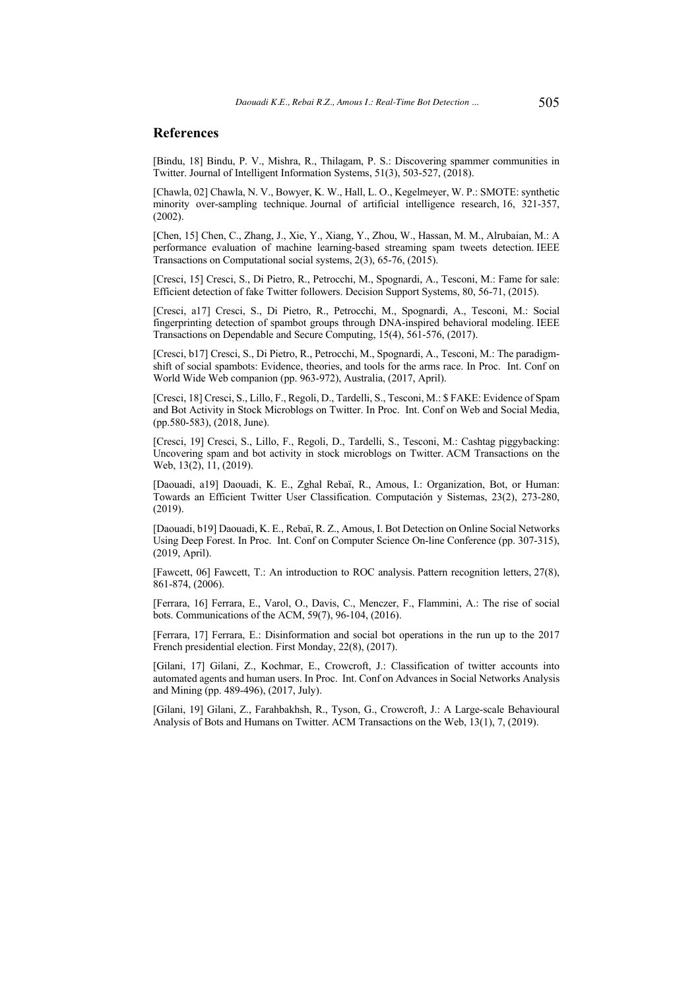### **References**

[Bindu, 18] Bindu, P. V., Mishra, R., Thilagam, P. S.: Discovering spammer communities in Twitter. Journal of Intelligent Information Systems, 51(3), 503-527, (2018).

[Chawla, 02] Chawla, N. V., Bowyer, K. W., Hall, L. O., Kegelmeyer, W. P.: SMOTE: synthetic minority over-sampling technique. Journal of artificial intelligence research, 16, 321-357, (2002).

[Chen, 15] Chen, C., Zhang, J., Xie, Y., Xiang, Y., Zhou, W., Hassan, M. M., Alrubaian, M.: A performance evaluation of machine learning-based streaming spam tweets detection. IEEE Transactions on Computational social systems, 2(3), 65-76, (2015).

[Cresci, 15] Cresci, S., Di Pietro, R., Petrocchi, M., Spognardi, A., Tesconi, M.: Fame for sale: Efficient detection of fake Twitter followers. Decision Support Systems, 80, 56-71, (2015).

[Cresci, a17] Cresci, S., Di Pietro, R., Petrocchi, M., Spognardi, A., Tesconi, M.: Social fingerprinting detection of spambot groups through DNA-inspired behavioral modeling. IEEE Transactions on Dependable and Secure Computing, 15(4), 561-576, (2017).

[Cresci, b17] Cresci, S., Di Pietro, R., Petrocchi, M., Spognardi, A., Tesconi, M.: The paradigmshift of social spambots: Evidence, theories, and tools for the arms race. In Proc. Int. Conf on World Wide Web companion (pp. 963-972), Australia, (2017, April).

[Cresci, 18] Cresci, S., Lillo, F., Regoli, D., Tardelli, S., Tesconi, M.: \$ FAKE: Evidence of Spam and Bot Activity in Stock Microblogs on Twitter. In Proc. Int. Conf on Web and Social Media, (pp.580-583), (2018, June).

[Cresci, 19] Cresci, S., Lillo, F., Regoli, D., Tardelli, S., Tesconi, M.: Cashtag piggybacking: Uncovering spam and bot activity in stock microblogs on Twitter. ACM Transactions on the Web, 13(2), 11, (2019).

[Daouadi, a19] Daouadi, K. E., Zghal Rebaï, R., Amous, I.: Organization, Bot, or Human: Towards an Efficient Twitter User Classification. Computación y Sistemas, 23(2), 273-280, (2019).

[Daouadi, b19] Daouadi, K. E., Rebaï, R. Z., Amous, I. Bot Detection on Online Social Networks Using Deep Forest. In Proc. Int. Conf on Computer Science On-line Conference (pp. 307-315), (2019, April).

[Fawcett, 06] Fawcett, T.: An introduction to ROC analysis. Pattern recognition letters, 27(8), 861-874, (2006).

[Ferrara, 16] Ferrara, E., Varol, O., Davis, C., Menczer, F., Flammini, A.: The rise of social bots. Communications of the ACM, 59(7), 96-104, (2016).

[Ferrara, 17] Ferrara, E.: Disinformation and social bot operations in the run up to the 2017 French presidential election. First Monday, 22(8), (2017).

[Gilani, 17] Gilani, Z., Kochmar, E., Crowcroft, J.: Classification of twitter accounts into automated agents and human users. In Proc. Int. Conf on Advances in Social Networks Analysis and Mining (pp. 489-496), (2017, July).

[Gilani, 19] Gilani, Z., Farahbakhsh, R., Tyson, G., Crowcroft, J.: A Large-scale Behavioural Analysis of Bots and Humans on Twitter. ACM Transactions on the Web, 13(1), 7, (2019).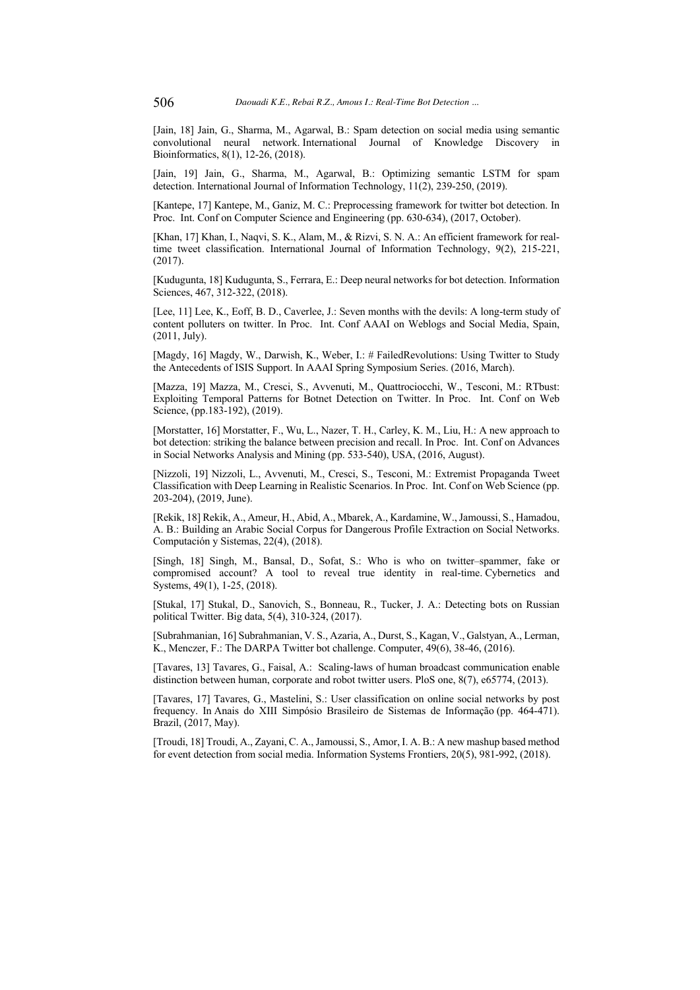[Jain, 18] Jain, G., Sharma, M., Agarwal, B.: Spam detection on social media using semantic convolutional neural network. International Journal of Knowledge Discovery in Bioinformatics, 8(1), 12-26, (2018).

[Jain, 19] Jain, G., Sharma, M., Agarwal, B.: Optimizing semantic LSTM for spam detection. International Journal of Information Technology, 11(2), 239-250, (2019).

[Kantepe, 17] Kantepe, M., Ganiz, M. C.: Preprocessing framework for twitter bot detection. In Proc. Int. Conf on Computer Science and Engineering (pp. 630-634), (2017, October).

[Khan, 17] Khan, I., Naqvi, S. K., Alam, M., & Rizvi, S. N. A.: An efficient framework for realtime tweet classification. International Journal of Information Technology, 9(2), 215-221, (2017).

[Kudugunta, 18] Kudugunta, S., Ferrara, E.: Deep neural networks for bot detection. Information Sciences, 467, 312-322, (2018).

[Lee, 11] Lee, K., Eoff, B. D., Caverlee, J.: Seven months with the devils: A long-term study of content polluters on twitter. In Proc. Int. Conf AAAI on Weblogs and Social Media, Spain, (2011, July).

[Magdy, 16] Magdy, W., Darwish, K., Weber, I.: # FailedRevolutions: Using Twitter to Study the Antecedents of ISIS Support. In AAAI Spring Symposium Series. (2016, March).

[Mazza, 19] Mazza, M., Cresci, S., Avvenuti, M., Quattrociocchi, W., Tesconi, M.: RTbust: Exploiting Temporal Patterns for Botnet Detection on Twitter. In Proc. Int. Conf on Web Science, (pp.183-192), (2019).

[Morstatter, 16] Morstatter, F., Wu, L., Nazer, T. H., Carley, K. M., Liu, H.: A new approach to bot detection: striking the balance between precision and recall. In Proc. Int. Conf on Advances in Social Networks Analysis and Mining (pp. 533-540), USA, (2016, August).

[Nizzoli, 19] Nizzoli, L., Avvenuti, M., Cresci, S., Tesconi, M.: Extremist Propaganda Tweet Classification with Deep Learning in Realistic Scenarios. In Proc. Int. Conf on Web Science (pp. 203-204), (2019, June).

[Rekik, 18] Rekik, A., Ameur, H., Abid, A., Mbarek, A., Kardamine, W., Jamoussi, S., Hamadou, A. B.: Building an Arabic Social Corpus for Dangerous Profile Extraction on Social Networks. Computación y Sistemas, 22(4), (2018).

[Singh, 18] Singh, M., Bansal, D., Sofat, S.: Who is who on twitter–spammer, fake or compromised account? A tool to reveal true identity in real-time. Cybernetics and Systems, 49(1), 1-25, (2018).

[Stukal, 17] Stukal, D., Sanovich, S., Bonneau, R., Tucker, J. A.: Detecting bots on Russian political Twitter. Big data, 5(4), 310-324, (2017).

[Subrahmanian, 16] Subrahmanian, V. S., Azaria, A., Durst, S., Kagan, V., Galstyan, A., Lerman, K., Menczer, F.: The DARPA Twitter bot challenge. Computer, 49(6), 38-46, (2016).

[Tavares, 13] Tavares, G., Faisal, A.: Scaling-laws of human broadcast communication enable distinction between human, corporate and robot twitter users. PloS one, 8(7), e65774, (2013).

[Tavares, 17] Tavares, G., Mastelini, S.: User classification on online social networks by post frequency. In Anais do XIII Simpósio Brasileiro de Sistemas de Informação (pp. 464-471). Brazil, (2017, May).

[Troudi, 18] Troudi, A., Zayani, C. A., Jamoussi, S., Amor, I. A. B.: A new mashup based method for event detection from social media. Information Systems Frontiers, 20(5), 981-992, (2018).